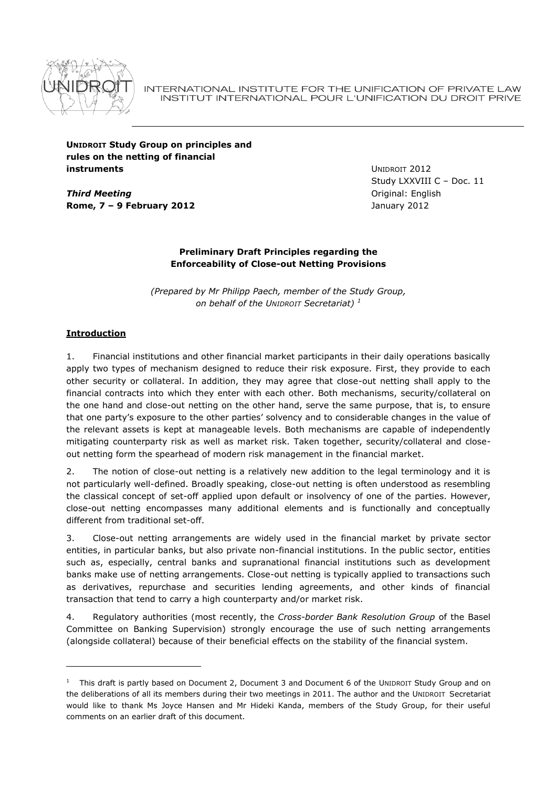

INTERNATIONAL INSTITUTE FOR THE UNIFICATION OF PRIVATE LAW INSTITUT INTERNATIONAL POUR L'UNIFICATION DU DROIT PRIVE

**UNIDROIT Study Group on principles and rules on the netting of financial instruments**

*Third Meeting* **Rome, 7 – 9 February 2012** UNIDROIT 2012 Study LXXVIII C – Doc. 11 Original: English January 2012

# **Preliminary Draft Principles regarding the Enforceability of Close-out Netting Provisions**

*(Prepared by Mr Philipp Paech, member of the Study Group, on behalf of the UNIDROIT Secretariat) <sup>1</sup>*

# **Introduction**

-

1. Financial institutions and other financial market participants in their daily operations basically apply two types of mechanism designed to reduce their risk exposure. First, they provide to each other security or collateral. In addition, they may agree that close-out netting shall apply to the financial contracts into which they enter with each other. Both mechanisms, security/collateral on the one hand and close-out netting on the other hand, serve the same purpose, that is, to ensure that one party"s exposure to the other parties" solvency and to considerable changes in the value of the relevant assets is kept at manageable levels. Both mechanisms are capable of independently mitigating counterparty risk as well as market risk. Taken together, security/collateral and closeout netting form the spearhead of modern risk management in the financial market.

2. The notion of close-out netting is a relatively new addition to the legal terminology and it is not particularly well-defined. Broadly speaking, close-out netting is often understood as resembling the classical concept of set-off applied upon default or insolvency of one of the parties. However, close-out netting encompasses many additional elements and is functionally and conceptually different from traditional set-off.

3. Close-out netting arrangements are widely used in the financial market by private sector entities, in particular banks, but also private non-financial institutions. In the public sector, entities such as, especially, central banks and supranational financial institutions such as development banks make use of netting arrangements. Close-out netting is typically applied to transactions such as derivatives, repurchase and securities lending agreements, and other kinds of financial transaction that tend to carry a high counterparty and/or market risk.

4. Regulatory authorities (most recently, the *Cross-border Bank Resolution Group* of the Basel Committee on Banking Supervision) strongly encourage the use of such netting arrangements (alongside collateral) because of their beneficial effects on the stability of the financial system.

 $1$  This draft is partly based on Document 2, Document 3 and Document 6 of the UNIDROIT Study Group and on the deliberations of all its members during their two meetings in 2011. The author and the UNIDROIT Secretariat would like to thank Ms Joyce Hansen and Mr Hideki Kanda, members of the Study Group, for their useful comments on an earlier draft of this document.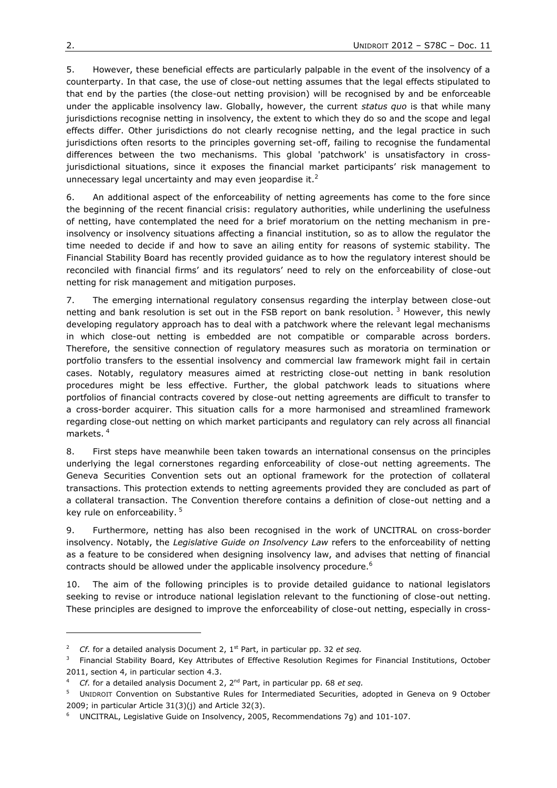5. However, these beneficial effects are particularly palpable in the event of the insolvency of a counterparty. In that case, the use of close-out netting assumes that the legal effects stipulated to that end by the parties (the close-out netting provision) will be recognised by and be enforceable under the applicable insolvency law. Globally, however, the current *status quo* is that while many jurisdictions recognise netting in insolvency, the extent to which they do so and the scope and legal effects differ. Other jurisdictions do not clearly recognise netting, and the legal practice in such jurisdictions often resorts to the principles governing set-off, failing to recognise the fundamental differences between the two mechanisms. This global 'patchwork' is unsatisfactory in crossjurisdictional situations, since it exposes the financial market participants' risk management to unnecessary legal uncertainty and may even jeopardise it. $<sup>2</sup>$ </sup>

6. An additional aspect of the enforceability of netting agreements has come to the fore since the beginning of the recent financial crisis: regulatory authorities, while underlining the usefulness of netting, have contemplated the need for a brief moratorium on the netting mechanism in preinsolvency or insolvency situations affecting a financial institution, so as to allow the regulator the time needed to decide if and how to save an ailing entity for reasons of systemic stability. The Financial Stability Board has recently provided guidance as to how the regulatory interest should be reconciled with financial firms" and its regulators" need to rely on the enforceability of close-out netting for risk management and mitigation purposes.

7. The emerging international regulatory consensus regarding the interplay between close-out netting and bank resolution is set out in the FSB report on bank resolution.  $3$  However, this newly developing regulatory approach has to deal with a patchwork where the relevant legal mechanisms in which close-out netting is embedded are not compatible or comparable across borders. Therefore, the sensitive connection of regulatory measures such as moratoria on termination or portfolio transfers to the essential insolvency and commercial law framework might fail in certain cases. Notably, regulatory measures aimed at restricting close-out netting in bank resolution procedures might be less effective. Further, the global patchwork leads to situations where portfolios of financial contracts covered by close-out netting agreements are difficult to transfer to a cross-border acquirer. This situation calls for a more harmonised and streamlined framework regarding close-out netting on which market participants and regulatory can rely across all financial markets.<sup>4</sup>

8. First steps have meanwhile been taken towards an international consensus on the principles underlying the legal cornerstones regarding enforceability of close-out netting agreements. The Geneva Securities Convention sets out an optional framework for the protection of collateral transactions. This protection extends to netting agreements provided they are concluded as part of a collateral transaction. The Convention therefore contains a definition of close-out netting and a key rule on enforceability.<sup>5</sup>

9. Furthermore, netting has also been recognised in the work of UNCITRAL on cross-border insolvency. Notably, the *Legislative Guide on Insolvency Law* refers to the enforceability of netting as a feature to be considered when designing insolvency law, and advises that netting of financial contracts should be allowed under the applicable insolvency procedure.<sup>6</sup>

10. The aim of the following principles is to provide detailed guidance to national legislators seeking to revise or introduce national legislation relevant to the functioning of close-out netting. These principles are designed to improve the enforceability of close-out netting, especially in cross-

-

<sup>&</sup>lt;sup>2</sup> *Cf.* for a detailed analysis Document 2, 1<sup>st</sup> Part, in particular pp. 32 *et seq.* 

 $3$  Financial Stability Board, Key Attributes of Effective Resolution Regimes for Financial Institutions, October 2011, section 4, in particular section 4.3.

<sup>4</sup> *Cf.* for a detailed analysis Document 2, 2nd Part, in particular pp. 68 *et seq.*

<sup>&</sup>lt;sup>5</sup> UNIDROIT Convention on Substantive Rules for Intermediated Securities, adopted in Geneva on 9 October 2009; in particular Article 31(3)(j) and Article 32(3).

<sup>&</sup>lt;sup>6</sup> UNCITRAL, Legislative Guide on Insolvency, 2005, Recommendations 7g) and 101-107.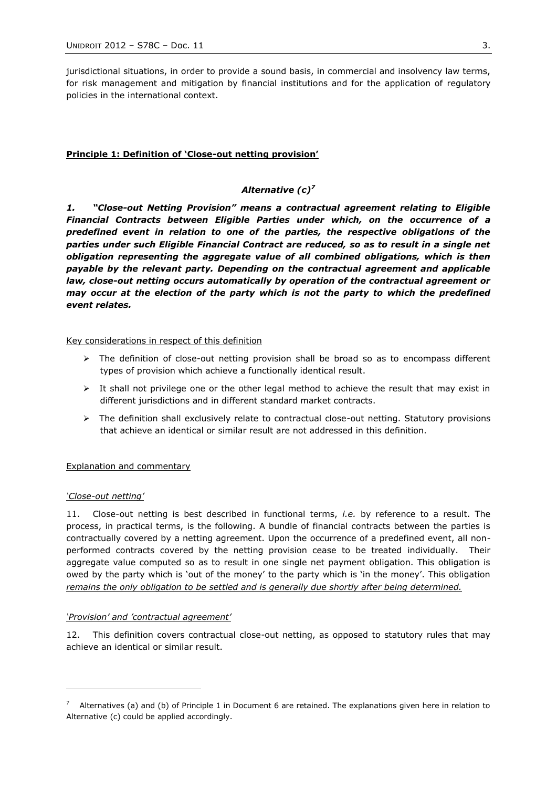jurisdictional situations, in order to provide a sound basis, in commercial and insolvency law terms, for risk management and mitigation by financial institutions and for the application of regulatory policies in the international context.

## **Principle 1: Definition of 'Close-out netting provision'**

# *Alternative (c)<sup>7</sup>*

*1. "Close-out Netting Provision" means a contractual agreement relating to Eligible Financial Contracts between Eligible Parties under which, on the occurrence of a predefined event in relation to one of the parties, the respective obligations of the parties under such Eligible Financial Contract are reduced, so as to result in a single net obligation representing the aggregate value of all combined obligations, which is then payable by the relevant party. Depending on the contractual agreement and applicable law, close-out netting occurs automatically by operation of the contractual agreement or may occur at the election of the party which is not the party to which the predefined event relates.*

Key considerations in respect of this definition

- $\triangleright$  The definition of close-out netting provision shall be broad so as to encompass different types of provision which achieve a functionally identical result.
- $\triangleright$  It shall not privilege one or the other legal method to achieve the result that may exist in different jurisdictions and in different standard market contracts.
- $\triangleright$  The definition shall exclusively relate to contractual close-out netting. Statutory provisions that achieve an identical or similar result are not addressed in this definition.

## Explanation and commentary

## *'Close-out netting'*

-

11. Close-out netting is best described in functional terms, *i.e.* by reference to a result. The process, in practical terms, is the following. A bundle of financial contracts between the parties is contractually covered by a netting agreement. Upon the occurrence of a predefined event, all nonperformed contracts covered by the netting provision cease to be treated individually. Their aggregate value computed so as to result in one single net payment obligation. This obligation is owed by the party which is 'out of the money' to the party which is 'in the money'. This obligation *remains the only obligation to be settled and is generally due shortly after being determined.*

## *'Provision' and 'contractual agreement'*

12. This definition covers contractual close-out netting, as opposed to statutory rules that may achieve an identical or similar result.

<sup>&</sup>lt;sup>7</sup> Alternatives (a) and (b) of Principle 1 in Document 6 are retained. The explanations given here in relation to Alternative (c) could be applied accordingly.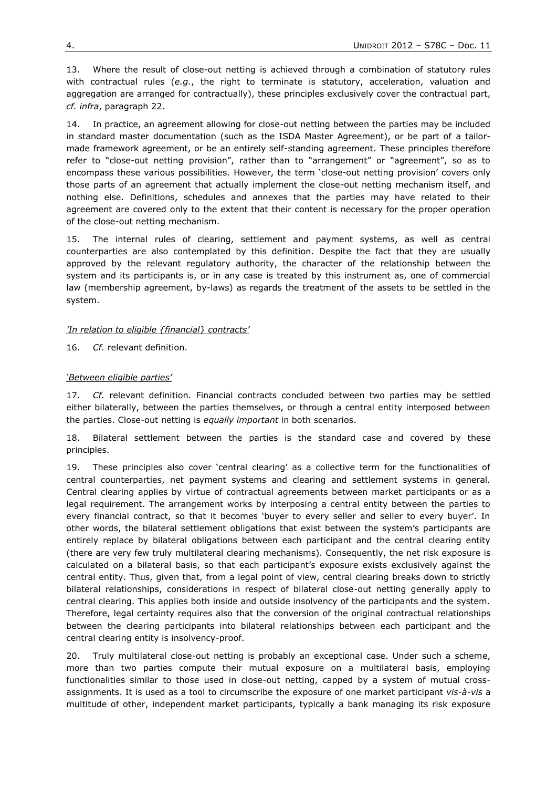<span id="page-3-0"></span>13. Where the result of close-out netting is achieved through a combination of statutory rules with contractual rules (*e.g.*, the right to terminate is statutory, acceleration, valuation and aggregation are arranged for contractually), these principles exclusively cover the contractual part, *cf. infra*, paragraph [22.](#page-4-0)

14. In practice, an agreement allowing for close-out netting between the parties may be included in standard master documentation (such as the ISDA Master Agreement), or be part of a tailormade framework agreement, or be an entirely self-standing agreement. These principles therefore refer to "close-out netting provision", rather than to "arrangement" or "agreement", so as to encompass these various possibilities. However, the term "close-out netting provision" covers only those parts of an agreement that actually implement the close-out netting mechanism itself, and nothing else. Definitions, schedules and annexes that the parties may have related to their agreement are covered only to the extent that their content is necessary for the proper operation of the close-out netting mechanism.

15. The internal rules of clearing, settlement and payment systems, as well as central counterparties are also contemplated by this definition. Despite the fact that they are usually approved by the relevant regulatory authority, the character of the relationship between the system and its participants is, or in any case is treated by this instrument as, one of commercial law (membership agreement, by-laws) as regards the treatment of the assets to be settled in the system.

## *'In relation to eligible {financial} contracts'*

16. *Cf.* relevant definition.

## *'Between eligible parties'*

17. *Cf.* relevant definition. Financial contracts concluded between two parties may be settled either bilaterally, between the parties themselves, or through a central entity interposed between the parties. Close-out netting is *equally important* in both scenarios.

18. Bilateral settlement between the parties is the standard case and covered by these principles.

<span id="page-3-1"></span>19. These principles also cover "central clearing" as a collective term for the functionalities of central counterparties, net payment systems and clearing and settlement systems in general. Central clearing applies by virtue of contractual agreements between market participants or as a legal requirement. The arrangement works by interposing a central entity between the parties to every financial contract, so that it becomes 'buyer to every seller and seller to every buyer'. In other words, the bilateral settlement obligations that exist between the system"s participants are entirely replace by bilateral obligations between each participant and the central clearing entity (there are very few truly multilateral clearing mechanisms). Consequently, the net risk exposure is calculated on a bilateral basis, so that each participant"s exposure exists exclusively against the central entity. Thus, given that, from a legal point of view, central clearing breaks down to strictly bilateral relationships, considerations in respect of bilateral close-out netting generally apply to central clearing. This applies both inside and outside insolvency of the participants and the system. Therefore, legal certainty requires also that the conversion of the original contractual relationships between the clearing participants into bilateral relationships between each participant and the central clearing entity is insolvency-proof.

20. Truly multilateral close-out netting is probably an exceptional case. Under such a scheme, more than two parties compute their mutual exposure on a multilateral basis, employing functionalities similar to those used in close-out netting, capped by a system of mutual crossassignments. It is used as a tool to circumscribe the exposure of one market participant *vis-à-vis* a multitude of other, independent market participants, typically a bank managing its risk exposure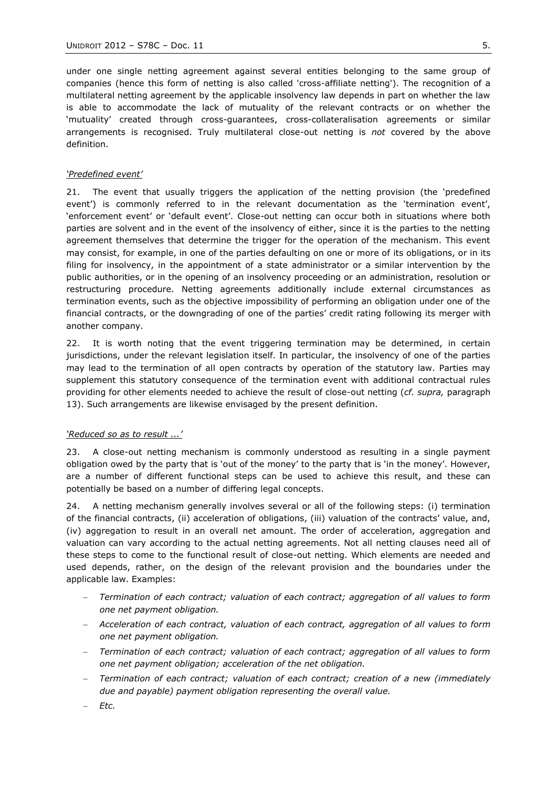under one single netting agreement against several entities belonging to the same group of companies (hence this form of netting is also called 'cross-affiliate netting'). The recognition of a multilateral netting agreement by the applicable insolvency law depends in part on whether the law is able to accommodate the lack of mutuality of the relevant contracts or on whether the "mutuality" created through cross-guarantees, cross-collateralisation agreements or similar arrangements is recognised. Truly multilateral close-out netting is *not* covered by the above definition.

#### *'Predefined event'*

21. The event that usually triggers the application of the netting provision (the "predefined event') is commonly referred to in the relevant documentation as the 'termination event', 'enforcement event' or 'default event'. Close-out netting can occur both in situations where both parties are solvent and in the event of the insolvency of either, since it is the parties to the netting agreement themselves that determine the trigger for the operation of the mechanism. This event may consist, for example, in one of the parties defaulting on one or more of its obligations, or in its filing for insolvency, in the appointment of a state administrator or a similar intervention by the public authorities, or in the opening of an insolvency proceeding or an administration, resolution or restructuring procedure. Netting agreements additionally include external circumstances as termination events, such as the objective impossibility of performing an obligation under one of the financial contracts, or the downgrading of one of the parties' credit rating following its merger with another company.

<span id="page-4-0"></span>22. It is worth noting that the event triggering termination may be determined, in certain jurisdictions, under the relevant legislation itself. In particular, the insolvency of one of the parties may lead to the termination of all open contracts by operation of the statutory law. Parties may supplement this statutory consequence of the termination event with additional contractual rules providing for other elements needed to achieve the result of close-out netting (*cf. supra,* paragraph [13\)](#page-3-0). Such arrangements are likewise envisaged by the present definition.

## *'Reduced so as to result ...'*

23. A close-out netting mechanism is commonly understood as resulting in a single payment obligation owed by the party that is "out of the money" to the party that is "in the money". However, are a number of different functional steps can be used to achieve this result, and these can potentially be based on a number of differing legal concepts.

24. A netting mechanism generally involves several or all of the following steps: (i) termination of the financial contracts, (ii) acceleration of obligations, (iii) valuation of the contracts" value, and, (iv) aggregation to result in an overall net amount. The order of acceleration, aggregation and valuation can vary according to the actual netting agreements. Not all netting clauses need all of these steps to come to the functional result of close-out netting. Which elements are needed and used depends, rather, on the design of the relevant provision and the boundaries under the applicable law. Examples:

- *Termination of each contract; valuation of each contract; aggregation of all values to form one net payment obligation.*
- *Acceleration of each contract, valuation of each contract, aggregation of all values to form one net payment obligation.*
- *Termination of each contract; valuation of each contract; aggregation of all values to form one net payment obligation; acceleration of the net obligation.*
- *Termination of each contract; valuation of each contract; creation of a new (immediately due and payable) payment obligation representing the overall value.*

*Etc.*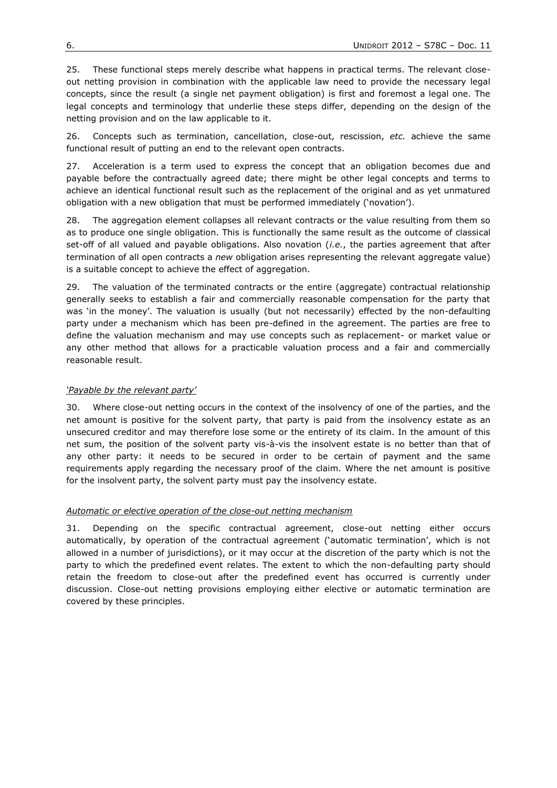25. These functional steps merely describe what happens in practical terms. The relevant closeout netting provision in combination with the applicable law need to provide the necessary legal concepts, since the result (a single net payment obligation) is first and foremost a legal one. The legal concepts and terminology that underlie these steps differ, depending on the design of the netting provision and on the law applicable to it.

26. Concepts such as termination, cancellation, close-out, rescission, *etc.* achieve the same functional result of putting an end to the relevant open contracts.

27. Acceleration is a term used to express the concept that an obligation becomes due and payable before the contractually agreed date; there might be other legal concepts and terms to achieve an identical functional result such as the replacement of the original and as yet unmatured obligation with a new obligation that must be performed immediately ("novation").

28. The aggregation element collapses all relevant contracts or the value resulting from them so as to produce one single obligation. This is functionally the same result as the outcome of classical set-off of all valued and payable obligations. Also novation (*i.e.*, the parties agreement that after termination of all open contracts a *new* obligation arises representing the relevant aggregate value) is a suitable concept to achieve the effect of aggregation.

29. The valuation of the terminated contracts or the entire (aggregate) contractual relationship generally seeks to establish a fair and commercially reasonable compensation for the party that was 'in the money'. The valuation is usually (but not necessarily) effected by the non-defaulting party under a mechanism which has been pre-defined in the agreement. The parties are free to define the valuation mechanism and may use concepts such as replacement- or market value or any other method that allows for a practicable valuation process and a fair and commercially reasonable result.

# *'Payable by the relevant party'*

30. Where close-out netting occurs in the context of the insolvency of one of the parties, and the net amount is positive for the solvent party, that party is paid from the insolvency estate as an unsecured creditor and may therefore lose some or the entirety of its claim. In the amount of this net sum, the position of the solvent party vis-à-vis the insolvent estate is no better than that of any other party: it needs to be secured in order to be certain of payment and the same requirements apply regarding the necessary proof of the claim. Where the net amount is positive for the insolvent party, the solvent party must pay the insolvency estate.

# *Automatic or elective operation of the close-out netting mechanism*

31. Depending on the specific contractual agreement, close-out netting either occurs automatically, by operation of the contractual agreement ("automatic termination", which is not allowed in a number of jurisdictions), or it may occur at the discretion of the party which is not the party to which the predefined event relates. The extent to which the non-defaulting party should retain the freedom to close-out after the predefined event has occurred is currently under discussion. Close-out netting provisions employing either elective or automatic termination are covered by these principles.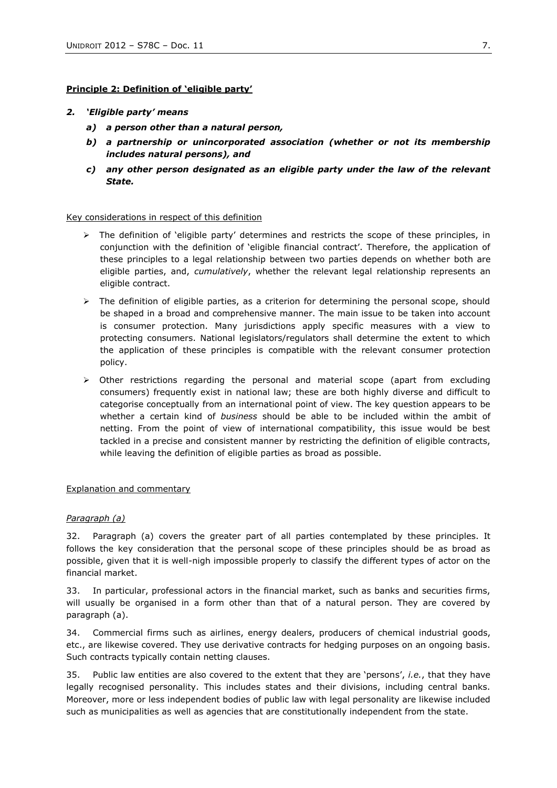# **Principle 2: Definition of 'eligible party'**

## *2. "Eligible party" means*

- *a) a person other than a natural person,*
- *b) a partnership or unincorporated association (whether or not its membership includes natural persons), and*
- *c) any other person designated as an eligible party under the law of the relevant State.*

## Key considerations in respect of this definition

- $\triangleright$  The definition of 'eligible party' determines and restricts the scope of these principles, in conjunction with the definition of "eligible financial contract". Therefore, the application of these principles to a legal relationship between two parties depends on whether both are eligible parties, and, *cumulatively*, whether the relevant legal relationship represents an eligible contract.
- $\triangleright$  The definition of eligible parties, as a criterion for determining the personal scope, should be shaped in a broad and comprehensive manner. The main issue to be taken into account is consumer protection. Many jurisdictions apply specific measures with a view to protecting consumers. National legislators/regulators shall determine the extent to which the application of these principles is compatible with the relevant consumer protection policy.
- $\triangleright$  Other restrictions regarding the personal and material scope (apart from excluding consumers) frequently exist in national law; these are both highly diverse and difficult to categorise conceptually from an international point of view. The key question appears to be whether a certain kind of *business* should be able to be included within the ambit of netting. From the point of view of international compatibility, this issue would be best tackled in a precise and consistent manner by restricting the definition of eligible contracts, while leaving the definition of eligible parties as broad as possible.

## Explanation and commentary

## *Paragraph (a)*

32. Paragraph (a) covers the greater part of all parties contemplated by these principles. It follows the key consideration that the personal scope of these principles should be as broad as possible, given that it is well-nigh impossible properly to classify the different types of actor on the financial market.

33. In particular, professional actors in the financial market, such as banks and securities firms, will usually be organised in a form other than that of a natural person. They are covered by paragraph (a).

34. Commercial firms such as airlines, energy dealers, producers of chemical industrial goods, etc., are likewise covered. They use derivative contracts for hedging purposes on an ongoing basis. Such contracts typically contain netting clauses.

35. Public law entities are also covered to the extent that they are "persons", *i.e.*, that they have legally recognised personality. This includes states and their divisions, including central banks. Moreover, more or less independent bodies of public law with legal personality are likewise included such as municipalities as well as agencies that are constitutionally independent from the state.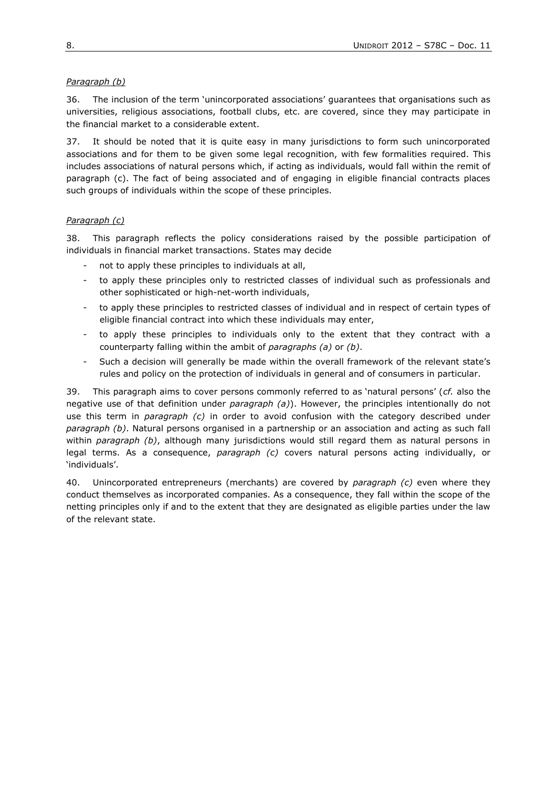# *Paragraph (b)*

36. The inclusion of the term "unincorporated associations" guarantees that organisations such as universities, religious associations, football clubs, etc. are covered, since they may participate in the financial market to a considerable extent.

37. It should be noted that it is quite easy in many jurisdictions to form such unincorporated associations and for them to be given some legal recognition, with few formalities required. This includes associations of natural persons which, if acting as individuals, would fall within the remit of paragraph (c). The fact of being associated and of engaging in eligible financial contracts places such groups of individuals within the scope of these principles.

# *Paragraph (c)*

38. This paragraph reflects the policy considerations raised by the possible participation of individuals in financial market transactions. States may decide

- not to apply these principles to individuals at all,
- to apply these principles only to restricted classes of individual such as professionals and other sophisticated or high-net-worth individuals,
- to apply these principles to restricted classes of individual and in respect of certain types of eligible financial contract into which these individuals may enter,
- to apply these principles to individuals only to the extent that they contract with a counterparty falling within the ambit of *paragraphs (a)* or *(b)*.
- Such a decision will generally be made within the overall framework of the relevant state's rules and policy on the protection of individuals in general and of consumers in particular.

39. This paragraph aims to cover persons commonly referred to as "natural persons" (*cf.* also the negative use of that definition under *paragraph (a)*). However, the principles intentionally do not use this term in *paragraph (c)* in order to avoid confusion with the category described under *paragraph (b)*. Natural persons organised in a partnership or an association and acting as such fall within *paragraph (b)*, although many jurisdictions would still regard them as natural persons in legal terms. As a consequence, *paragraph (c)* covers natural persons acting individually, or "individuals".

40. Unincorporated entrepreneurs (merchants) are covered by *paragraph (c)* even where they conduct themselves as incorporated companies. As a consequence, they fall within the scope of the netting principles only if and to the extent that they are designated as eligible parties under the law of the relevant state.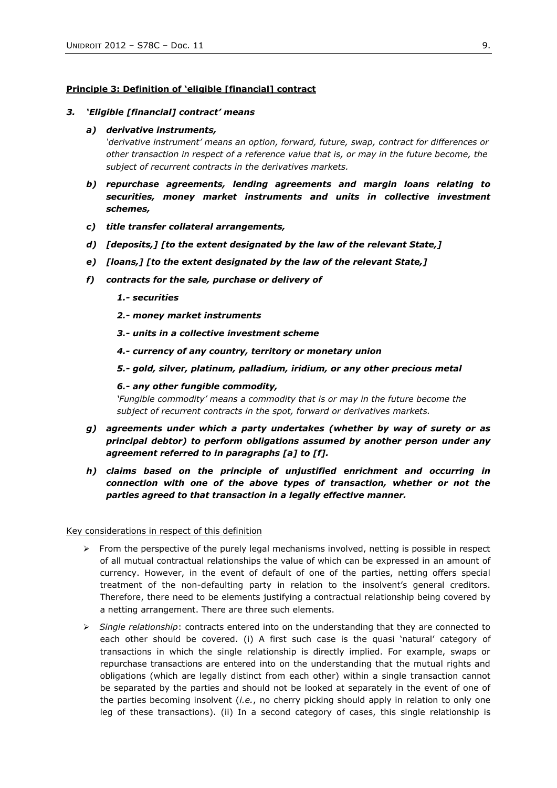### **Principle 3: Definition of 'eligible [financial] contract**

#### *3. "Eligible [financial] contract" means*

#### *a) derivative instruments,*

*'derivative instrument' means an option, forward, future, swap, contract for differences or other transaction in respect of a reference value that is, or may in the future become, the subject of recurrent contracts in the derivatives markets.*

- *b) repurchase agreements, lending agreements and margin loans relating to securities, money market instruments and units in collective investment schemes,*
- *c) title transfer collateral arrangements,*
- *d) [deposits,] [to the extent designated by the law of the relevant State,]*
- *e) [loans,] [to the extent designated by the law of the relevant State,]*
- *f) contracts for the sale, purchase or delivery of*
	- *1.- securities*
	- *2.- money market instruments*
	- *3.- units in a collective investment scheme*
	- *4.- currency of any country, territory or monetary union*
	- *5.- gold, silver, platinum, palladium, iridium, or any other precious metal*

#### *6.- any other fungible commodity,*

*'Fungible commodity' means a commodity that is or may in the future become the subject of recurrent contracts in the spot, forward or derivatives markets.*

- *g) agreements under which a party undertakes (whether by way of surety or as principal debtor) to perform obligations assumed by another person under any agreement referred to in paragraphs [a] to [f].*
- *h) claims based on the principle of unjustified enrichment and occurring in connection with one of the above types of transaction, whether or not the parties agreed to that transaction in a legally effective manner.*

Key considerations in respect of this definition

- $\triangleright$  From the perspective of the purely legal mechanisms involved, netting is possible in respect of all mutual contractual relationships the value of which can be expressed in an amount of currency. However, in the event of default of one of the parties, netting offers special treatment of the non-defaulting party in relation to the insolvent's general creditors. Therefore, there need to be elements justifying a contractual relationship being covered by a netting arrangement. There are three such elements.
- *Single relationship*: contracts entered into on the understanding that they are connected to each other should be covered. (i) A first such case is the quasi 'natural' category of transactions in which the single relationship is directly implied. For example, swaps or repurchase transactions are entered into on the understanding that the mutual rights and obligations (which are legally distinct from each other) within a single transaction cannot be separated by the parties and should not be looked at separately in the event of one of the parties becoming insolvent (*i.e.*, no cherry picking should apply in relation to only one leg of these transactions). (ii) In a second category of cases, this single relationship is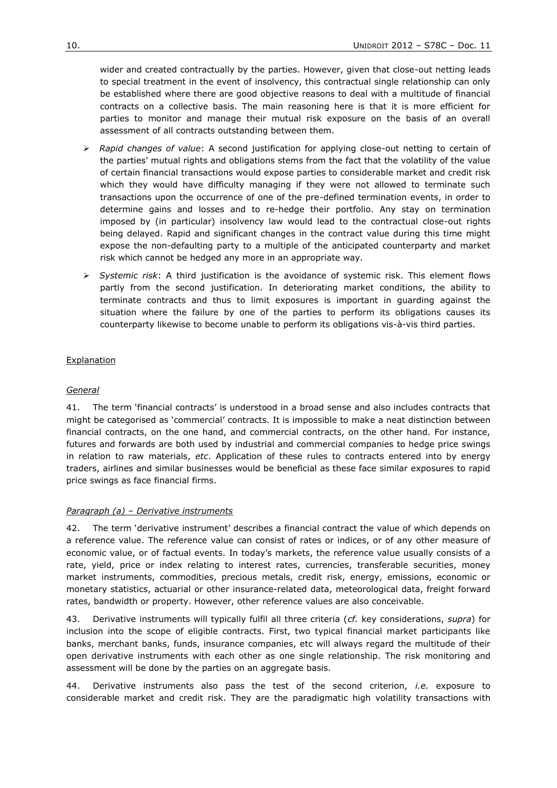wider and created contractually by the parties. However, given that close-out netting leads to special treatment in the event of insolvency, this contractual single relationship can only be established where there are good objective reasons to deal with a multitude of financial contracts on a collective basis. The main reasoning here is that it is more efficient for parties to monitor and manage their mutual risk exposure on the basis of an overall assessment of all contracts outstanding between them.

- *Rapid changes of value*: A second justification for applying close-out netting to certain of the parties" mutual rights and obligations stems from the fact that the volatility of the value of certain financial transactions would expose parties to considerable market and credit risk which they would have difficulty managing if they were not allowed to terminate such transactions upon the occurrence of one of the pre-defined termination events, in order to determine gains and losses and to re-hedge their portfolio. Any stay on termination imposed by (in particular) insolvency law would lead to the contractual close-out rights being delayed. Rapid and significant changes in the contract value during this time might expose the non-defaulting party to a multiple of the anticipated counterparty and market risk which cannot be hedged any more in an appropriate way.
- *Systemic risk*: A third justification is the avoidance of systemic risk. This element flows partly from the second justification. In deteriorating market conditions, the ability to terminate contracts and thus to limit exposures is important in guarding against the situation where the failure by one of the parties to perform its obligations causes its counterparty likewise to become unable to perform its obligations vis-à-vis third parties.

# Explanation

## *General*

41. The term "financial contracts" is understood in a broad sense and also includes contracts that might be categorised as "commercial" contracts. It is impossible to make a neat distinction between financial contracts, on the one hand, and commercial contracts, on the other hand. For instance, futures and forwards are both used by industrial and commercial companies to hedge price swings in relation to raw materials, *etc*. Application of these rules to contracts entered into by energy traders, airlines and similar businesses would be beneficial as these face similar exposures to rapid price swings as face financial firms.

# *Paragraph (a) – Derivative instruments*

42. The term "derivative instrument" describes a financial contract the value of which depends on a reference value. The reference value can consist of rates or indices, or of any other measure of economic value, or of factual events. In today's markets, the reference value usually consists of a rate, yield, price or index relating to interest rates, currencies, transferable securities, money market instruments, commodities, precious metals, credit risk, energy, emissions, economic or monetary statistics, actuarial or other insurance-related data, meteorological data, freight forward rates, bandwidth or property. However, other reference values are also conceivable.

43. Derivative instruments will typically fulfil all three criteria (*cf.* key considerations, *supra*) for inclusion into the scope of eligible contracts. First, two typical financial market participants like banks, merchant banks, funds, insurance companies, etc will always regard the multitude of their open derivative instruments with each other as one single relationship. The risk monitoring and assessment will be done by the parties on an aggregate basis.

44. Derivative instruments also pass the test of the second criterion, *i.e.* exposure to considerable market and credit risk. They are the paradigmatic high volatility transactions with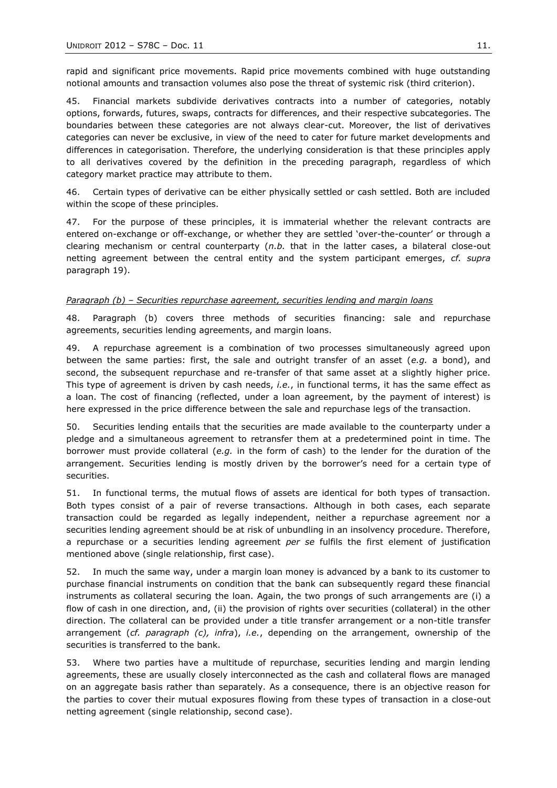rapid and significant price movements. Rapid price movements combined with huge outstanding notional amounts and transaction volumes also pose the threat of systemic risk (third criterion).

45. Financial markets subdivide derivatives contracts into a number of categories, notably options, forwards, futures, swaps, contracts for differences, and their respective subcategories. The boundaries between these categories are not always clear-cut. Moreover, the list of derivatives categories can never be exclusive, in view of the need to cater for future market developments and differences in categorisation. Therefore, the underlying consideration is that these principles apply to all derivatives covered by the definition in the preceding paragraph, regardless of which category market practice may attribute to them.

46. Certain types of derivative can be either physically settled or cash settled. Both are included within the scope of these principles.

47. For the purpose of these principles, it is immaterial whether the relevant contracts are entered on-exchange or off-exchange, or whether they are settled "over-the-counter" or through a clearing mechanism or central counterparty (*n.b.* that in the latter cases, a bilateral close-out netting agreement between the central entity and the system participant emerges, *cf. supra* paragraph [19\)](#page-3-1).

#### *Paragraph (b) – Securities repurchase agreement, securities lending and margin loans*

48. Paragraph (b) covers three methods of securities financing: sale and repurchase agreements, securities lending agreements, and margin loans.

49. A repurchase agreement is a combination of two processes simultaneously agreed upon between the same parties: first, the sale and outright transfer of an asset (*e.g.* a bond), and second, the subsequent repurchase and re-transfer of that same asset at a slightly higher price. This type of agreement is driven by cash needs, *i.e.*, in functional terms, it has the same effect as a loan. The cost of financing (reflected, under a loan agreement, by the payment of interest) is here expressed in the price difference between the sale and repurchase legs of the transaction.

50. Securities lending entails that the securities are made available to the counterparty under a pledge and a simultaneous agreement to retransfer them at a predetermined point in time. The borrower must provide collateral (*e.g.* in the form of cash) to the lender for the duration of the arrangement. Securities lending is mostly driven by the borrower's need for a certain type of securities.

51. In functional terms, the mutual flows of assets are identical for both types of transaction. Both types consist of a pair of reverse transactions. Although in both cases, each separate transaction could be regarded as legally independent, neither a repurchase agreement nor a securities lending agreement should be at risk of unbundling in an insolvency procedure. Therefore, a repurchase or a securities lending agreement *per se* fulfils the first element of justification mentioned above (single relationship, first case).

52. In much the same way, under a margin loan money is advanced by a bank to its customer to purchase financial instruments on condition that the bank can subsequently regard these financial instruments as collateral securing the loan. Again, the two prongs of such arrangements are (i) a flow of cash in one direction, and, (ii) the provision of rights over securities (collateral) in the other direction. The collateral can be provided under a title transfer arrangement or a non-title transfer arrangement (*cf. paragraph (c), infra*), *i.e.*, depending on the arrangement, ownership of the securities is transferred to the bank.

53. Where two parties have a multitude of repurchase, securities lending and margin lending agreements, these are usually closely interconnected as the cash and collateral flows are managed on an aggregate basis rather than separately. As a consequence, there is an objective reason for the parties to cover their mutual exposures flowing from these types of transaction in a close-out netting agreement (single relationship, second case).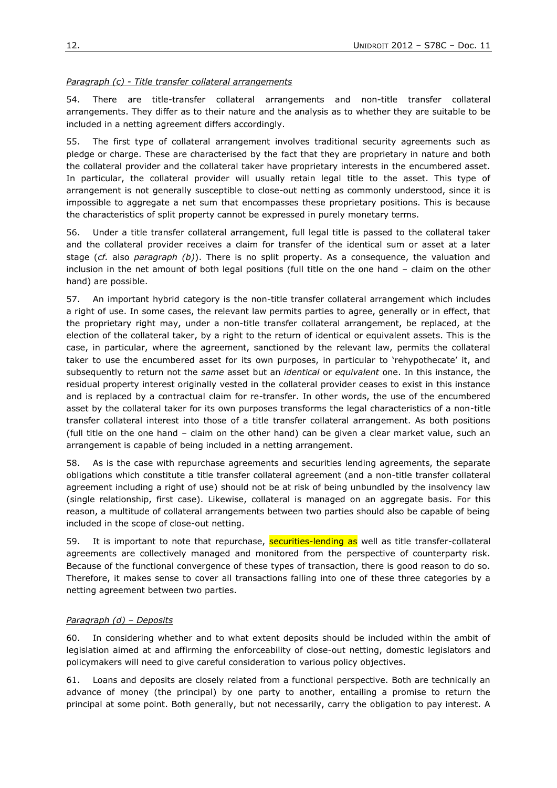# *Paragraph (c) - Title transfer collateral arrangements*

54. There are title-transfer collateral arrangements and non-title transfer collateral arrangements. They differ as to their nature and the analysis as to whether they are suitable to be included in a netting agreement differs accordingly.

55. The first type of collateral arrangement involves traditional security agreements such as pledge or charge. These are characterised by the fact that they are proprietary in nature and both the collateral provider and the collateral taker have proprietary interests in the encumbered asset. In particular, the collateral provider will usually retain legal title to the asset. This type of arrangement is not generally susceptible to close-out netting as commonly understood, since it is impossible to aggregate a net sum that encompasses these proprietary positions. This is because the characteristics of split property cannot be expressed in purely monetary terms.

56. Under a title transfer collateral arrangement, full legal title is passed to the collateral taker and the collateral provider receives a claim for transfer of the identical sum or asset at a later stage (*cf.* also *paragraph (b)*). There is no split property. As a consequence, the valuation and inclusion in the net amount of both legal positions (full title on the one hand – claim on the other hand) are possible.

57. An important hybrid category is the non-title transfer collateral arrangement which includes a right of use. In some cases, the relevant law permits parties to agree, generally or in effect, that the proprietary right may, under a non-title transfer collateral arrangement, be replaced, at the election of the collateral taker, by a right to the return of identical or equivalent assets. This is the case, in particular, where the agreement, sanctioned by the relevant law, permits the collateral taker to use the encumbered asset for its own purposes, in particular to 'rehypothecate' it, and subsequently to return not the *same* asset but an *identical* or *equivalent* one. In this instance, the residual property interest originally vested in the collateral provider ceases to exist in this instance and is replaced by a contractual claim for re-transfer. In other words, the use of the encumbered asset by the collateral taker for its own purposes transforms the legal characteristics of a non-title transfer collateral interest into those of a title transfer collateral arrangement. As both positions (full title on the one hand – claim on the other hand) can be given a clear market value, such an arrangement is capable of being included in a netting arrangement.

58. As is the case with repurchase agreements and securities lending agreements, the separate obligations which constitute a title transfer collateral agreement (and a non-title transfer collateral agreement including a right of use) should not be at risk of being unbundled by the insolvency law (single relationship, first case). Likewise, collateral is managed on an aggregate basis. For this reason, a multitude of collateral arrangements between two parties should also be capable of being included in the scope of close-out netting.

59. It is important to note that repurchase, securities-lending as well as title transfer-collateral agreements are collectively managed and monitored from the perspective of counterparty risk. Because of the functional convergence of these types of transaction, there is good reason to do so. Therefore, it makes sense to cover all transactions falling into one of these three categories by a netting agreement between two parties.

# *Paragraph (d) – Deposits*

60. In considering whether and to what extent deposits should be included within the ambit of legislation aimed at and affirming the enforceability of close-out netting, domestic legislators and policymakers will need to give careful consideration to various policy objectives.

61. Loans and deposits are closely related from a functional perspective. Both are technically an advance of money (the principal) by one party to another, entailing a promise to return the principal at some point. Both generally, but not necessarily, carry the obligation to pay interest. A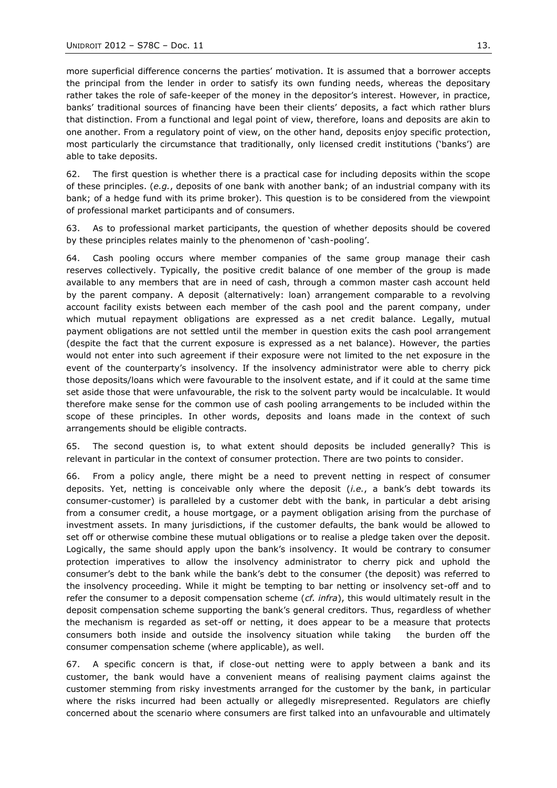more superficial difference concerns the parties" motivation. It is assumed that a borrower accepts the principal from the lender in order to satisfy its own funding needs, whereas the depositary rather takes the role of safe-keeper of the money in the depositor's interest. However, in practice, banks" traditional sources of financing have been their clients" deposits, a fact which rather blurs that distinction. From a functional and legal point of view, therefore, loans and deposits are akin to one another. From a regulatory point of view, on the other hand, deposits enjoy specific protection, most particularly the circumstance that traditionally, only licensed credit institutions ("banks") are able to take deposits.

62. The first question is whether there is a practical case for including deposits within the scope of these principles. (*e.g.*, deposits of one bank with another bank; of an industrial company with its bank; of a hedge fund with its prime broker). This question is to be considered from the viewpoint of professional market participants and of consumers.

63. As to professional market participants, the question of whether deposits should be covered by these principles relates mainly to the phenomenon of "cash-pooling".

64. Cash pooling occurs where member companies of the same group manage their cash reserves collectively. Typically, the positive credit balance of one member of the group is made available to any members that are in need of cash, through a common master cash account held by the parent company. A deposit (alternatively: loan) arrangement comparable to a revolving account facility exists between each member of the cash pool and the parent company, under which mutual repayment obligations are expressed as a net credit balance. Legally, mutual payment obligations are not settled until the member in question exits the cash pool arrangement (despite the fact that the current exposure is expressed as a net balance). However, the parties would not enter into such agreement if their exposure were not limited to the net exposure in the event of the counterparty's insolvency. If the insolvency administrator were able to cherry pick those deposits/loans which were favourable to the insolvent estate, and if it could at the same time set aside those that were unfavourable, the risk to the solvent party would be incalculable. It would therefore make sense for the common use of cash pooling arrangements to be included within the scope of these principles. In other words, deposits and loans made in the context of such arrangements should be eligible contracts.

65. The second question is, to what extent should deposits be included generally? This is relevant in particular in the context of consumer protection. There are two points to consider.

66. From a policy angle, there might be a need to prevent netting in respect of consumer deposits. Yet, netting is conceivable only where the deposit (*i.e.*, a bank"s debt towards its consumer-customer) is paralleled by a customer debt with the bank, in particular a debt arising from a consumer credit, a house mortgage, or a payment obligation arising from the purchase of investment assets. In many jurisdictions, if the customer defaults, the bank would be allowed to set off or otherwise combine these mutual obligations or to realise a pledge taken over the deposit. Logically, the same should apply upon the bank"s insolvency. It would be contrary to consumer protection imperatives to allow the insolvency administrator to cherry pick and uphold the consumer"s debt to the bank while the bank"s debt to the consumer (the deposit) was referred to the insolvency proceeding. While it might be tempting to bar netting or insolvency set-off and to refer the consumer to a deposit compensation scheme (*cf. infra*), this would ultimately result in the deposit compensation scheme supporting the bank's general creditors. Thus, regardless of whether the mechanism is regarded as set-off or netting, it does appear to be a measure that protects consumers both inside and outside the insolvency situation while taking the burden off the consumer compensation scheme (where applicable), as well.

67. A specific concern is that, if close-out netting were to apply between a bank and its customer, the bank would have a convenient means of realising payment claims against the customer stemming from risky investments arranged for the customer by the bank, in particular where the risks incurred had been actually or allegedly misrepresented. Regulators are chiefly concerned about the scenario where consumers are first talked into an unfavourable and ultimately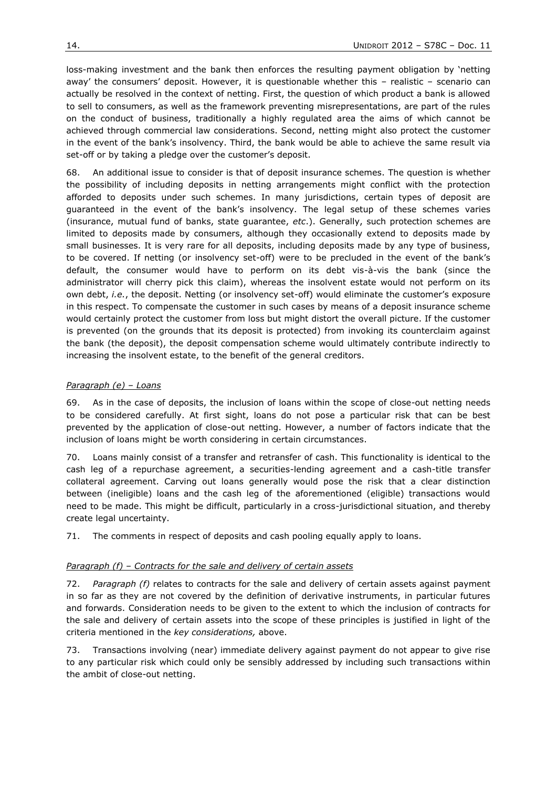loss-making investment and the bank then enforces the resulting payment obligation by "netting away' the consumers' deposit. However, it is questionable whether this - realistic - scenario can actually be resolved in the context of netting. First, the question of which product a bank is allowed to sell to consumers, as well as the framework preventing misrepresentations, are part of the rules on the conduct of business, traditionally a highly regulated area the aims of which cannot be achieved through commercial law considerations. Second, netting might also protect the customer in the event of the bank"s insolvency. Third, the bank would be able to achieve the same result via set-off or by taking a pledge over the customer's deposit.

68. An additional issue to consider is that of deposit insurance schemes. The question is whether the possibility of including deposits in netting arrangements might conflict with the protection afforded to deposits under such schemes. In many jurisdictions, certain types of deposit are guaranteed in the event of the bank"s insolvency. The legal setup of these schemes varies (insurance, mutual fund of banks, state guarantee, *etc*.). Generally, such protection schemes are limited to deposits made by consumers, although they occasionally extend to deposits made by small businesses. It is very rare for all deposits, including deposits made by any type of business, to be covered. If netting (or insolvency set-off) were to be precluded in the event of the bank"s default, the consumer would have to perform on its debt vis-à-vis the bank (since the administrator will cherry pick this claim), whereas the insolvent estate would not perform on its own debt, *i.e.*, the deposit. Netting (or insolvency set-off) would eliminate the customer"s exposure in this respect. To compensate the customer in such cases by means of a deposit insurance scheme would certainly protect the customer from loss but might distort the overall picture. If the customer is prevented (on the grounds that its deposit is protected) from invoking its counterclaim against the bank (the deposit), the deposit compensation scheme would ultimately contribute indirectly to increasing the insolvent estate, to the benefit of the general creditors.

# *Paragraph (e) – Loans*

69. As in the case of deposits, the inclusion of loans within the scope of close-out netting needs to be considered carefully. At first sight, loans do not pose a particular risk that can be best prevented by the application of close-out netting. However, a number of factors indicate that the inclusion of loans might be worth considering in certain circumstances.

70. Loans mainly consist of a transfer and retransfer of cash. This functionality is identical to the cash leg of a repurchase agreement, a securities-lending agreement and a cash-title transfer collateral agreement. Carving out loans generally would pose the risk that a clear distinction between (ineligible) loans and the cash leg of the aforementioned (eligible) transactions would need to be made. This might be difficult, particularly in a cross-jurisdictional situation, and thereby create legal uncertainty.

71. The comments in respect of deposits and cash pooling equally apply to loans.

## *Paragraph (f) – Contracts for the sale and delivery of certain assets*

72. *Paragraph (f)* relates to contracts for the sale and delivery of certain assets against payment in so far as they are not covered by the definition of derivative instruments, in particular futures and forwards. Consideration needs to be given to the extent to which the inclusion of contracts for the sale and delivery of certain assets into the scope of these principles is justified in light of the criteria mentioned in the *key considerations,* above.

73. Transactions involving (near) immediate delivery against payment do not appear to give rise to any particular risk which could only be sensibly addressed by including such transactions within the ambit of close-out netting.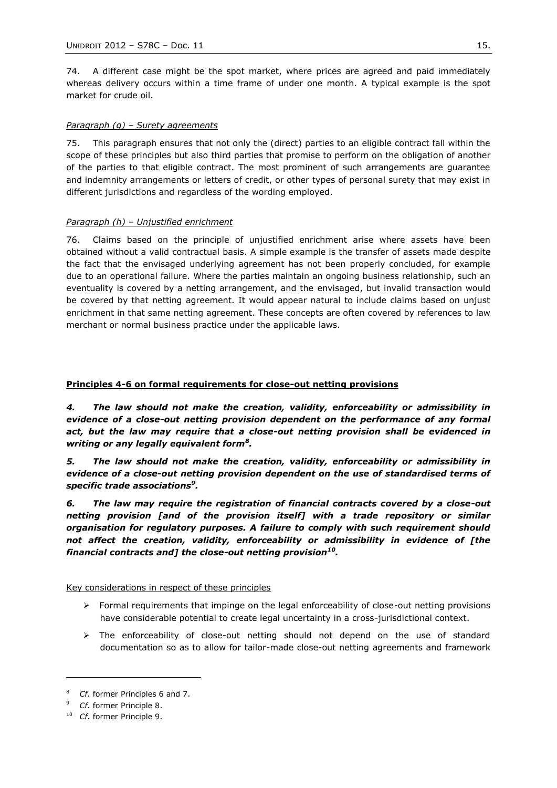74. A different case might be the spot market, where prices are agreed and paid immediately whereas delivery occurs within a time frame of under one month. A typical example is the spot market for crude oil.

# *Paragraph (g) – Surety agreements*

75. This paragraph ensures that not only the (direct) parties to an eligible contract fall within the scope of these principles but also third parties that promise to perform on the obligation of another of the parties to that eligible contract. The most prominent of such arrangements are guarantee and indemnity arrangements or letters of credit, or other types of personal surety that may exist in different jurisdictions and regardless of the wording employed.

# *Paragraph (h) – Unjustified enrichment*

76. Claims based on the principle of unjustified enrichment arise where assets have been obtained without a valid contractual basis. A simple example is the transfer of assets made despite the fact that the envisaged underlying agreement has not been properly concluded, for example due to an operational failure. Where the parties maintain an ongoing business relationship, such an eventuality is covered by a netting arrangement, and the envisaged, but invalid transaction would be covered by that netting agreement. It would appear natural to include claims based on unjust enrichment in that same netting agreement. These concepts are often covered by references to law merchant or normal business practice under the applicable laws.

# **Principles 4-6 on formal requirements for close-out netting provisions**

*4. The law should not make the creation, validity, enforceability or admissibility in evidence of a close-out netting provision dependent on the performance of any formal act, but the law may require that a close-out netting provision shall be evidenced in writing or any legally equivalent form<sup>8</sup> .*

*5. The law should not make the creation, validity, enforceability or admissibility in evidence of a close-out netting provision dependent on the use of standardised terms of specific trade associations<sup>9</sup> .*

*6. The law may require the registration of financial contracts covered by a close-out netting provision [and of the provision itself] with a trade repository or similar organisation for regulatory purposes. A failure to comply with such requirement should not affect the creation, validity, enforceability or admissibility in evidence of [the financial contracts and] the close-out netting provision<sup>10</sup> .*

## Key considerations in respect of these principles

- $\triangleright$  Formal requirements that impinge on the legal enforceability of close-out netting provisions have considerable potential to create legal uncertainty in a cross-jurisdictional context.
- $\triangleright$  The enforceability of close-out netting should not depend on the use of standard documentation so as to allow for tailor-made close-out netting agreements and framework

-

<sup>8</sup> *Cf.* former Principles 6 and 7.

<sup>9</sup> *Cf.* former Principle 8.

<sup>10</sup> *Cf.* former Principle 9.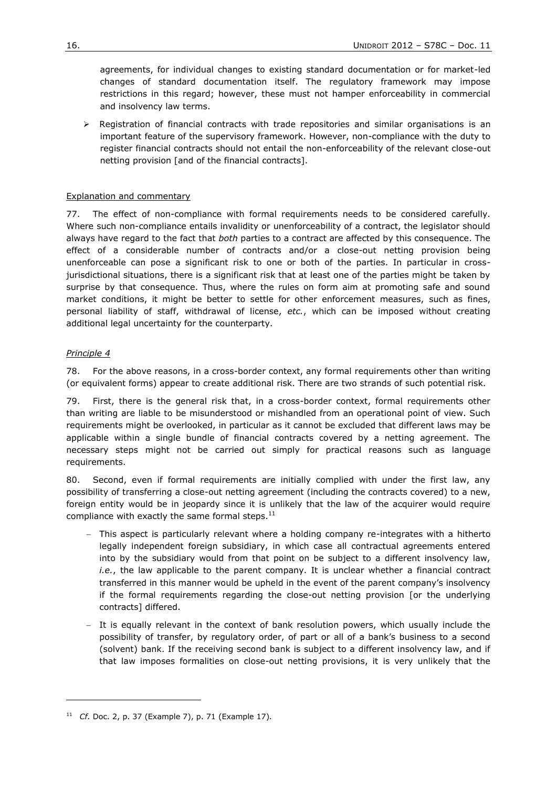agreements, for individual changes to existing standard documentation or for market-led changes of standard documentation itself. The regulatory framework may impose restrictions in this regard; however, these must not hamper enforceability in commercial and insolvency law terms.

 $\triangleright$  Registration of financial contracts with trade repositories and similar organisations is an important feature of the supervisory framework. However, non-compliance with the duty to register financial contracts should not entail the non-enforceability of the relevant close-out netting provision [and of the financial contracts].

## Explanation and commentary

77. The effect of non-compliance with formal requirements needs to be considered carefully. Where such non-compliance entails invalidity or unenforceability of a contract, the legislator should always have regard to the fact that *both* parties to a contract are affected by this consequence. The effect of a considerable number of contracts and/or a close-out netting provision being unenforceable can pose a significant risk to one or both of the parties. In particular in crossjurisdictional situations, there is a significant risk that at least one of the parties might be taken by surprise by that consequence. Thus, where the rules on form aim at promoting safe and sound market conditions, it might be better to settle for other enforcement measures, such as fines, personal liability of staff, withdrawal of license, *etc.*, which can be imposed without creating additional legal uncertainty for the counterparty.

# *Principle 4*

-

78. For the above reasons, in a cross-border context, any formal requirements other than writing (or equivalent forms) appear to create additional risk. There are two strands of such potential risk.

79. First, there is the general risk that, in a cross-border context, formal requirements other than writing are liable to be misunderstood or mishandled from an operational point of view. Such requirements might be overlooked, in particular as it cannot be excluded that different laws may be applicable within a single bundle of financial contracts covered by a netting agreement. The necessary steps might not be carried out simply for practical reasons such as language requirements.

80. Second, even if formal requirements are initially complied with under the first law, any possibility of transferring a close-out netting agreement (including the contracts covered) to a new, foreign entity would be in jeopardy since it is unlikely that the law of the acquirer would require compliance with exactly the same formal steps. $^{11}$ 

- This aspect is particularly relevant where a holding company re-integrates with a hitherto legally independent foreign subsidiary, in which case all contractual agreements entered into by the subsidiary would from that point on be subject to a different insolvency law, *i.e.*, the law applicable to the parent company. It is unclear whether a financial contract transferred in this manner would be upheld in the event of the parent company"s insolvency if the formal requirements regarding the close-out netting provision [or the underlying contracts] differed.
- It is equally relevant in the context of bank resolution powers, which usually include the possibility of transfer, by regulatory order, of part or all of a bank"s business to a second (solvent) bank. If the receiving second bank is subject to a different insolvency law, and if that law imposes formalities on close-out netting provisions, it is very unlikely that the

<sup>11</sup> *Cf.* Doc. 2, p. 37 (Example 7), p. 71 (Example 17)*.*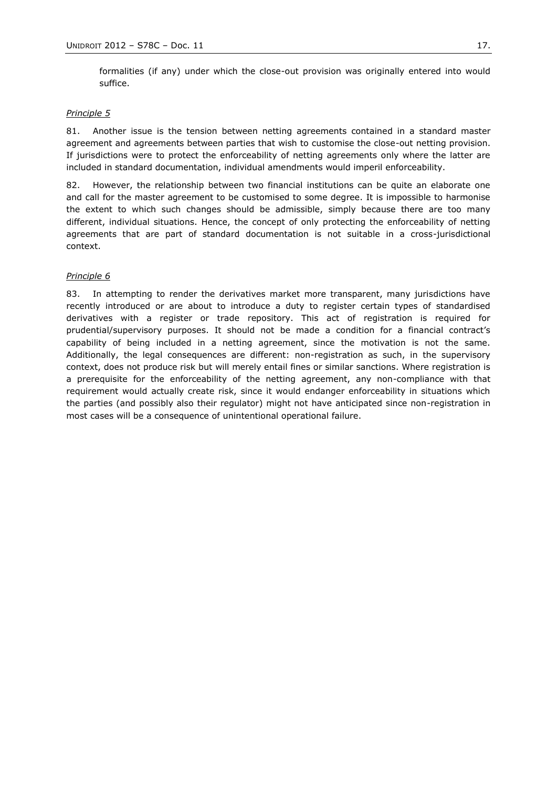formalities (if any) under which the close-out provision was originally entered into would suffice.

#### *Principle 5*

81. Another issue is the tension between netting agreements contained in a standard master agreement and agreements between parties that wish to customise the close-out netting provision. If jurisdictions were to protect the enforceability of netting agreements only where the latter are included in standard documentation, individual amendments would imperil enforceability.

82. However, the relationship between two financial institutions can be quite an elaborate one and call for the master agreement to be customised to some degree. It is impossible to harmonise the extent to which such changes should be admissible, simply because there are too many different, individual situations. Hence, the concept of only protecting the enforceability of netting agreements that are part of standard documentation is not suitable in a cross-jurisdictional context.

### *Principle 6*

83. In attempting to render the derivatives market more transparent, many jurisdictions have recently introduced or are about to introduce a duty to register certain types of standardised derivatives with a register or trade repository. This act of registration is required for prudential/supervisory purposes. It should not be made a condition for a financial contract"s capability of being included in a netting agreement, since the motivation is not the same. Additionally, the legal consequences are different: non-registration as such, in the supervisory context, does not produce risk but will merely entail fines or similar sanctions. Where registration is a prerequisite for the enforceability of the netting agreement, any non-compliance with that requirement would actually create risk, since it would endanger enforceability in situations which the parties (and possibly also their regulator) might not have anticipated since non-registration in most cases will be a consequence of unintentional operational failure.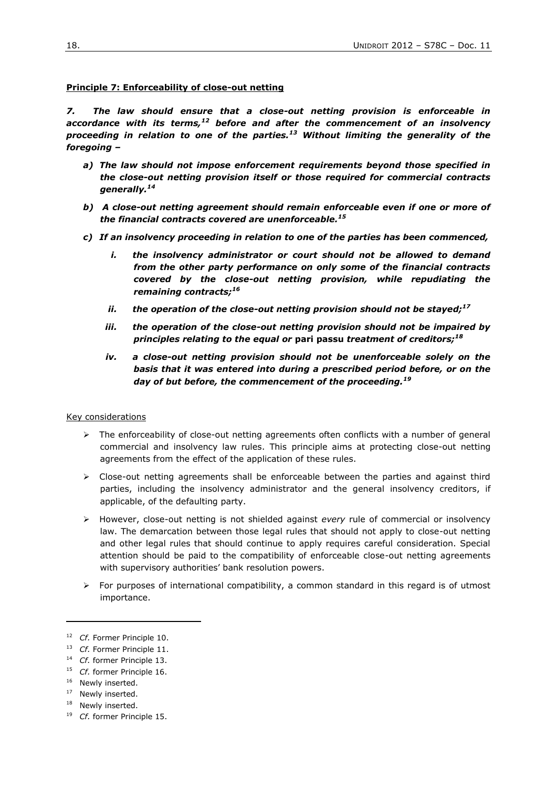#### **Principle 7: Enforceability of close-out netting**

*7. The law should ensure that a close-out netting provision is enforceable in accordance with its terms,<sup>12</sup> before and after the commencement of an insolvency proceeding in relation to one of the parties.<sup>13</sup> Without limiting the generality of the foregoing –*

- *a) The law should not impose enforcement requirements beyond those specified in the close-out netting provision itself or those required for commercial contracts generally.<sup>14</sup>*
- *b) A close-out netting agreement should remain enforceable even if one or more of the financial contracts covered are unenforceable.<sup>15</sup>*
- *c) If an insolvency proceeding in relation to one of the parties has been commenced,* 
	- *i. the insolvency administrator or court should not be allowed to demand from the other party performance on only some of the financial contracts covered by the close-out netting provision, while repudiating the remaining contracts;<sup>16</sup>*
	- *ii. the operation of the close-out netting provision should not be stayed;<sup>17</sup>*
	- *iii. the operation of the close-out netting provision should not be impaired by principles relating to the equal or* **pari passu** *treatment of creditors;<sup>18</sup>*
	- *iv. a close-out netting provision should not be unenforceable solely on the basis that it was entered into during a prescribed period before, or on the day of but before, the commencement of the proceeding.<sup>19</sup>*

#### Key considerations

- $\triangleright$  The enforceability of close-out netting agreements often conflicts with a number of general commercial and insolvency law rules. This principle aims at protecting close-out netting agreements from the effect of the application of these rules.
- $\triangleright$  Close-out netting agreements shall be enforceable between the parties and against third parties, including the insolvency administrator and the general insolvency creditors, if applicable, of the defaulting party.
- However, close-out netting is not shielded against *every* rule of commercial or insolvency law. The demarcation between those legal rules that should not apply to close-out netting and other legal rules that should continue to apply requires careful consideration. Special attention should be paid to the compatibility of enforceable close-out netting agreements with supervisory authorities' bank resolution powers.
- $\triangleright$  For purposes of international compatibility, a common standard in this regard is of utmost importance.

-

<sup>17</sup> Newly inserted.

<sup>19</sup> *Cf.* former Principle 15.

<sup>&</sup>lt;sup>12</sup> *Cf.* Former Principle 10.

<sup>&</sup>lt;sup>13</sup> *Cf.* Former Principle 11.

<sup>14</sup> *Cf.* former Principle 13.

<sup>&</sup>lt;sup>15</sup> *Cf.* former Principle 16.

<sup>&</sup>lt;sup>16</sup> Newly inserted.

<sup>&</sup>lt;sup>18</sup> Newly inserted.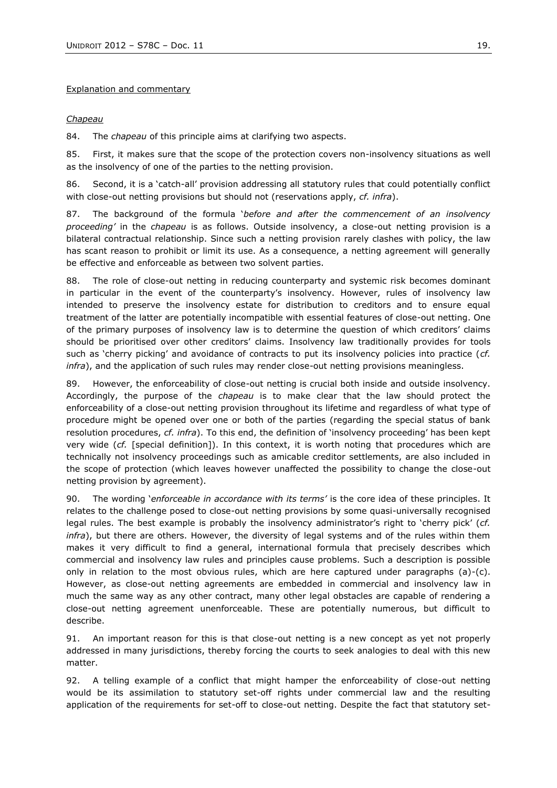## Explanation and commentary

# *Chapeau*

84. The *chapeau* of this principle aims at clarifying two aspects.

85. First, it makes sure that the scope of the protection covers non-insolvency situations as well as the insolvency of one of the parties to the netting provision.

86. Second, it is a 'catch-all' provision addressing all statutory rules that could potentially conflict with close-out netting provisions but should not (reservations apply, *cf. infra*).

87. The background of the formula "*before and after the commencement of an insolvency proceeding'* in the *chapeau* is as follows. Outside insolvency, a close-out netting provision is a bilateral contractual relationship. Since such a netting provision rarely clashes with policy, the law has scant reason to prohibit or limit its use. As a consequence, a netting agreement will generally be effective and enforceable as between two solvent parties.

88. The role of close-out netting in reducing counterparty and systemic risk becomes dominant in particular in the event of the counterparty's insolvency. However, rules of insolvency law intended to preserve the insolvency estate for distribution to creditors and to ensure equal treatment of the latter are potentially incompatible with essential features of close-out netting. One of the primary purposes of insolvency law is to determine the question of which creditors" claims should be prioritised over other creditors' claims. Insolvency law traditionally provides for tools such as "cherry picking" and avoidance of contracts to put its insolvency policies into practice (*cf. infra*), and the application of such rules may render close-out netting provisions meaningless.

89. However, the enforceability of close-out netting is crucial both inside and outside insolvency. Accordingly, the purpose of the *chapeau* is to make clear that the law should protect the enforceability of a close-out netting provision throughout its lifetime and regardless of what type of procedure might be opened over one or both of the parties (regarding the special status of bank resolution procedures, *cf. infra*). To this end, the definition of "insolvency proceeding" has been kept very wide (*cf.* [special definition]). In this context, it is worth noting that procedures which are technically not insolvency proceedings such as amicable creditor settlements, are also included in the scope of protection (which leaves however unaffected the possibility to change the close-out netting provision by agreement).

90. The wording "*enforceable in accordance with its terms'* is the core idea of these principles. It relates to the challenge posed to close-out netting provisions by some quasi-universally recognised legal rules. The best example is probably the insolvency administrator's right to 'cherry pick' (*cf. infra*), but there are others. However, the diversity of legal systems and of the rules within them makes it very difficult to find a general, international formula that precisely describes which commercial and insolvency law rules and principles cause problems. Such a description is possible only in relation to the most obvious rules, which are here captured under paragraphs (a)-(c). However, as close-out netting agreements are embedded in commercial and insolvency law in much the same way as any other contract, many other legal obstacles are capable of rendering a close-out netting agreement unenforceable. These are potentially numerous, but difficult to describe.

91. An important reason for this is that close-out netting is a new concept as yet not properly addressed in many jurisdictions, thereby forcing the courts to seek analogies to deal with this new matter.

92. A telling example of a conflict that might hamper the enforceability of close-out netting would be its assimilation to statutory set-off rights under commercial law and the resulting application of the requirements for set-off to close-out netting. Despite the fact that statutory set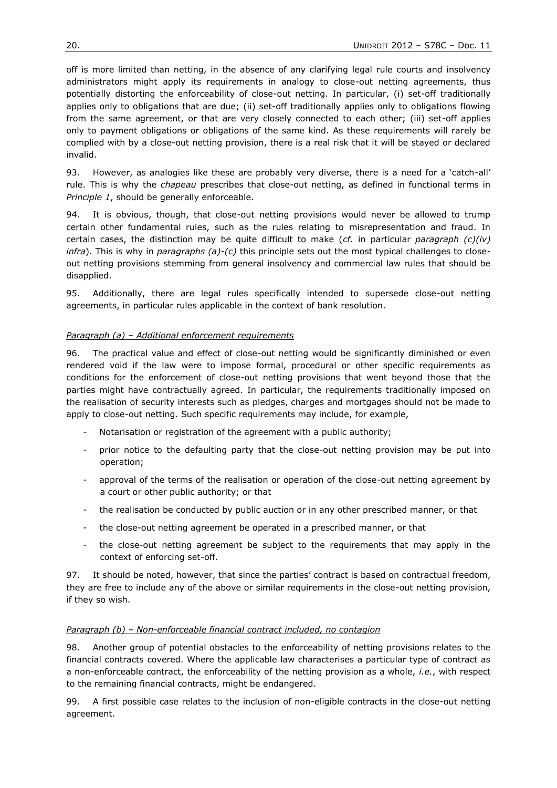off is more limited than netting, in the absence of any clarifying legal rule courts and insolvency administrators might apply its requirements in analogy to close-out netting agreements, thus potentially distorting the enforceability of close-out netting. In particular, (i) set-off traditionally applies only to obligations that are due; (ii) set-off traditionally applies only to obligations flowing from the same agreement, or that are very closely connected to each other; (iii) set-off applies only to payment obligations or obligations of the same kind. As these requirements will rarely be complied with by a close-out netting provision, there is a real risk that it will be stayed or declared invalid.

93. However, as analogies like these are probably very diverse, there is a need for a 'catch-all' rule. This is why the *chapeau* prescribes that close-out netting, as defined in functional terms in *Principle 1*, should be generally enforceable.

94. It is obvious, though, that close-out netting provisions would never be allowed to trump certain other fundamental rules, such as the rules relating to misrepresentation and fraud. In certain cases, the distinction may be quite difficult to make (*cf.* in particular *paragraph (c)(iv) infra*). This is why in *paragraphs (a)-(c)* this principle sets out the most typical challenges to closeout netting provisions stemming from general insolvency and commercial law rules that should be disapplied.

95. Additionally, there are legal rules specifically intended to supersede close-out netting agreements, in particular rules applicable in the context of bank resolution.

# *Paragraph (a) – Additional enforcement requirements*

96. The practical value and effect of close-out netting would be significantly diminished or even rendered void if the law were to impose formal, procedural or other specific requirements as conditions for the enforcement of close-out netting provisions that went beyond those that the parties might have contractually agreed. In particular, the requirements traditionally imposed on the realisation of security interests such as pledges, charges and mortgages should not be made to apply to close-out netting. Such specific requirements may include, for example,

- Notarisation or registration of the agreement with a public authority;
- prior notice to the defaulting party that the close-out netting provision may be put into operation;
- approval of the terms of the realisation or operation of the close-out netting agreement by a court or other public authority; or that
- the realisation be conducted by public auction or in any other prescribed manner, or that
- the close-out netting agreement be operated in a prescribed manner, or that
- the close-out netting agreement be subject to the requirements that may apply in the context of enforcing set-off.

97. It should be noted, however, that since the parties' contract is based on contractual freedom, they are free to include any of the above or similar requirements in the close-out netting provision, if they so wish.

## *Paragraph (b) – Non-enforceable financial contract included, no contagion*

98. Another group of potential obstacles to the enforceability of netting provisions relates to the financial contracts covered. Where the applicable law characterises a particular type of contract as a non-enforceable contract, the enforceability of the netting provision as a whole, *i.e.*, with respect to the remaining financial contracts, might be endangered.

99. A first possible case relates to the inclusion of non-eligible contracts in the close-out netting agreement.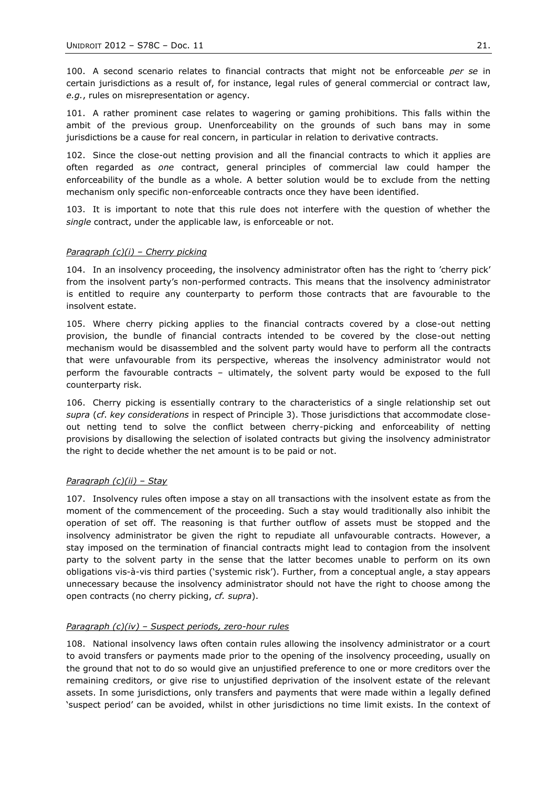100. A second scenario relates to financial contracts that might not be enforceable *per se* in certain jurisdictions as a result of, for instance, legal rules of general commercial or contract law, *e.g.*, rules on misrepresentation or agency.

101. A rather prominent case relates to wagering or gaming prohibitions. This falls within the ambit of the previous group. Unenforceability on the grounds of such bans may in some jurisdictions be a cause for real concern, in particular in relation to derivative contracts.

102. Since the close-out netting provision and all the financial contracts to which it applies are often regarded as *one* contract, general principles of commercial law could hamper the enforceability of the bundle as a whole. A better solution would be to exclude from the netting mechanism only specific non-enforceable contracts once they have been identified.

103. It is important to note that this rule does not interfere with the question of whether the *single* contract, under the applicable law, is enforceable or not.

# *Paragraph (c)(i) – Cherry picking*

104. In an insolvency proceeding, the insolvency administrator often has the right to "cherry pick" from the insolvent party"s non-performed contracts. This means that the insolvency administrator is entitled to require any counterparty to perform those contracts that are favourable to the insolvent estate.

105. Where cherry picking applies to the financial contracts covered by a close-out netting provision, the bundle of financial contracts intended to be covered by the close-out netting mechanism would be disassembled and the solvent party would have to perform all the contracts that were unfavourable from its perspective, whereas the insolvency administrator would not perform the favourable contracts – ultimately, the solvent party would be exposed to the full counterparty risk.

106. Cherry picking is essentially contrary to the characteristics of a single relationship set out *supra* (*cf*. *key considerations* in respect of Principle 3). Those jurisdictions that accommodate closeout netting tend to solve the conflict between cherry-picking and enforceability of netting provisions by disallowing the selection of isolated contracts but giving the insolvency administrator the right to decide whether the net amount is to be paid or not.

# *Paragraph (c)(ii) – Stay*

107. Insolvency rules often impose a stay on all transactions with the insolvent estate as from the moment of the commencement of the proceeding. Such a stay would traditionally also inhibit the operation of set off. The reasoning is that further outflow of assets must be stopped and the insolvency administrator be given the right to repudiate all unfavourable contracts. However, a stay imposed on the termination of financial contracts might lead to contagion from the insolvent party to the solvent party in the sense that the latter becomes unable to perform on its own obligations vis-à-vis third parties ("systemic risk"). Further, from a conceptual angle, a stay appears unnecessary because the insolvency administrator should not have the right to choose among the open contracts (no cherry picking, *cf. supra*).

# *Paragraph (c)(iv) – Suspect periods, zero-hour rules*

108. National insolvency laws often contain rules allowing the insolvency administrator or a court to avoid transfers or payments made prior to the opening of the insolvency proceeding, usually on the ground that not to do so would give an unjustified preference to one or more creditors over the remaining creditors, or give rise to unjustified deprivation of the insolvent estate of the relevant assets. In some jurisdictions, only transfers and payments that were made within a legally defined "suspect period" can be avoided, whilst in other jurisdictions no time limit exists. In the context of